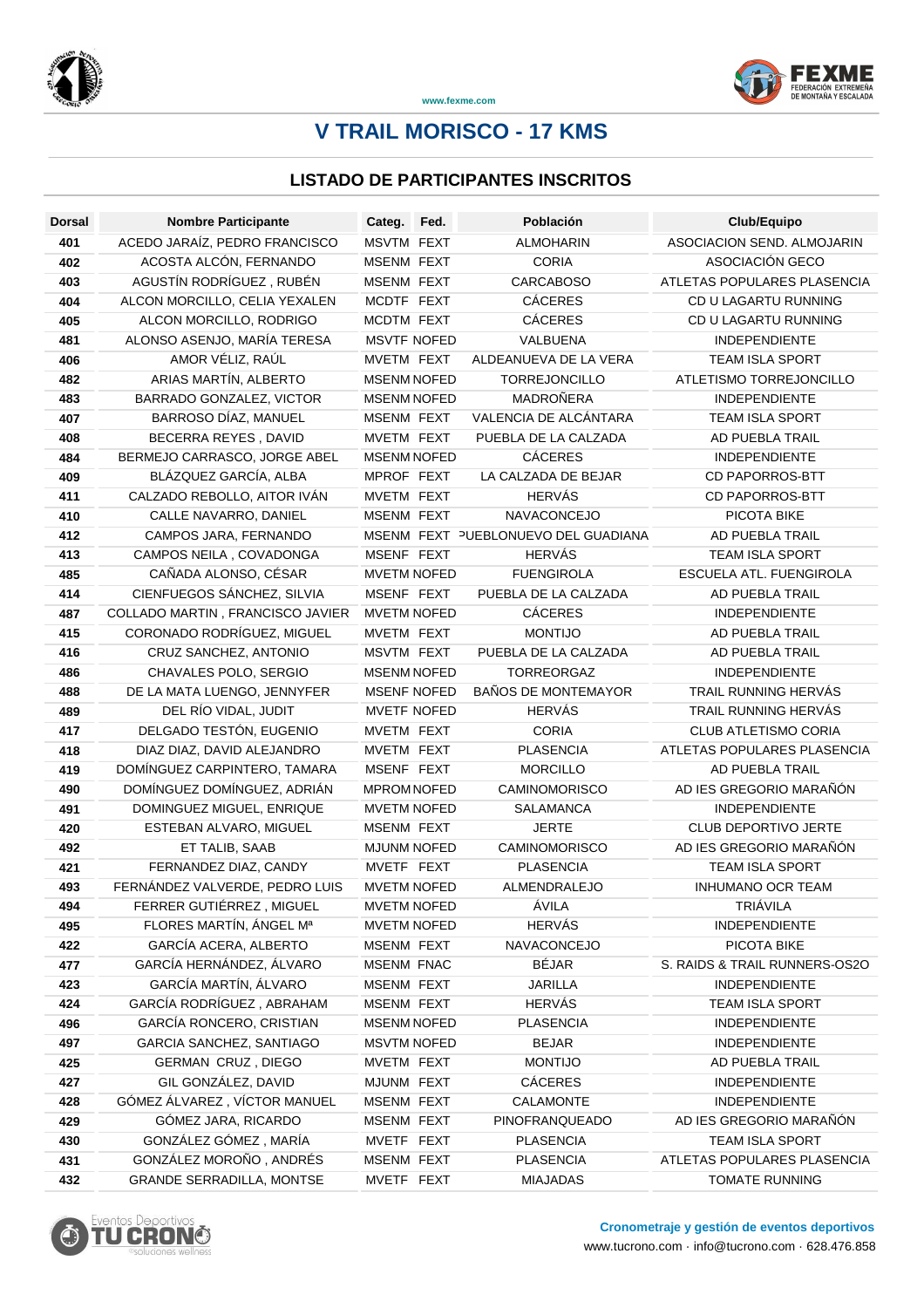



**www.fexme.com**

# **V TRAIL MORISCO - 17 KMS**

### **LISTADO DE PARTICIPANTES INSCRITOS**

| <b>Dorsal</b> | <b>Nombre Participante</b>                            | Categ. Fed.                      | Población                           | Club/Equipo                             |
|---------------|-------------------------------------------------------|----------------------------------|-------------------------------------|-----------------------------------------|
| 401           | ACEDO JARAÍZ, PEDRO FRANCISCO                         | MSVTM FEXT                       | <b>ALMOHARIN</b>                    | ASOCIACION SEND, ALMOJARIN              |
| 402           | ACOSTA ALCÓN, FERNANDO                                | <b>MSENM FEXT</b>                | <b>CORIA</b>                        | ASOCIACIÓN GECO                         |
| 403           | AGUSTÍN RODRÍGUEZ, RUBÉN                              | <b>MSENM FEXT</b>                | <b>CARCABOSO</b>                    | ATLETAS POPULARES PLASENCIA             |
| 404           | ALCON MORCILLO, CELIA YEXALEN                         | MCDTF FEXT                       | <b>CÁCERES</b>                      | CD U LAGARTU RUNNING                    |
| 405           | ALCON MORCILLO, RODRIGO                               | MCDTM FEXT                       | <b>CÁCERES</b>                      | CD U LAGARTU RUNNING                    |
| 481           | ALONSO ASENJO, MARÍA TERESA                           | <b>MSVTF NOFED</b>               | VALBUENA                            | <b>INDEPENDIENTE</b>                    |
| 406           | AMOR VÉLIZ, RAÚL                                      | MVETM FEXT                       | ALDEANUEVA DE LA VERA               | TEAM ISLA SPORT                         |
| 482           | ARIAS MARTÍN, ALBERTO                                 | <b>MSENM NOFED</b>               | <b>TORREJONCILLO</b>                | ATLETISMO TORREJONCILLO                 |
| 483           | BARRADO GONZALEZ, VICTOR                              | <b>MSENM NOFED</b>               | MADROÑERA                           | <b>INDEPENDIENTE</b>                    |
| 407           | BARROSO DÍAZ, MANUEL                                  | MSENM FEXT                       | VALENCIA DE ALCÁNTARA               | <b>TEAM ISLA SPORT</b>                  |
| 408           | BECERRA REYES, DAVID                                  | MVETM FEXT                       | PUEBLA DE LA CALZADA                | AD PUEBLA TRAIL                         |
| 484           | BERMEJO CARRASCO, JORGE ABEL                          | <b>MSENM NOFED</b>               | <b>CÁCERES</b>                      | <b>INDEPENDIENTE</b>                    |
| 409           | BLÁZQUEZ GARCÍA, ALBA                                 | MPROF FEXT                       | LA CALZADA DE BEJAR                 | <b>CD PAPORROS-BTT</b>                  |
| 411           | CALZADO REBOLLO, AITOR IVÁN                           | MVETM FEXT                       | <b>HERVÁS</b>                       | <b>CD PAPORROS-BTT</b>                  |
| 410           | CALLE NAVARRO, DANIEL                                 | <b>MSENM FEXT</b>                | NAVACONCEJO                         | PICOTA BIKE                             |
| 412           | CAMPOS JARA, FERNANDO                                 |                                  | MSENM FEXT PUEBLONUEVO DEL GUADIANA | AD PUEBLA TRAIL                         |
| 413           | CAMPOS NEILA, COVADONGA                               | MSENF FEXT                       | <b>HERVÁS</b>                       | <b>TEAM ISLA SPORT</b>                  |
| 485           | CAÑADA ALONSO, CÉSAR                                  | <b>MVETM NOFED</b>               | <b>FUENGIROLA</b>                   | ESCUELA ATL. FUENGIROLA                 |
| 414           | CIENFUEGOS SÁNCHEZ, SILVIA                            | MSENF FEXT                       | PUEBLA DE LA CALZADA                | AD PUEBLA TRAIL                         |
| 487           | COLLADO MARTIN, FRANCISCO JAVIER                      | <b>MVETM NOFED</b>               | <b>CÁCERES</b>                      | <b>INDEPENDIENTE</b>                    |
| 415           | CORONADO RODRÍGUEZ, MIGUEL                            | MVETM FEXT                       | <b>MONTIJO</b>                      | <b>AD PUEBLA TRAIL</b>                  |
| 416           | CRUZ SANCHEZ, ANTONIO                                 | MSVTM FEXT                       | PUEBLA DE LA CALZADA                | AD PUEBLA TRAIL                         |
| 486           | CHAVALES POLO, SERGIO                                 | <b>MSENM NOFED</b>               | TORREORGAZ                          | <b>INDEPENDIENTE</b>                    |
| 488           | DE LA MATA LUENGO, JENNYFER                           | <b>MSENF NOFED</b>               | <b>BAÑOS DE MONTEMAYOR</b>          | TRAIL RUNNING HERVÁS                    |
| 489           | DEL RÍO VIDAL, JUDIT                                  | <b>MVETF NOFED</b>               | <b>HERVÁS</b>                       | TRAIL RUNNING HERVÁS                    |
| 417           | DELGADO TESTÓN, EUGENIO                               | MVETM FEXT                       | <b>CORIA</b>                        | <b>CLUB ATLETISMO CORIA</b>             |
| 418           | DIAZ DIAZ, DAVID ALEJANDRO                            | MVETM FEXT                       | <b>PLASENCIA</b>                    | ATLETAS POPULARES PLASENCIA             |
| 419           | DOMÍNGUEZ CARPINTERO, TAMARA                          | MSENF FEXT                       | <b>MORCILLO</b>                     | AD PUEBLA TRAIL                         |
| 490           | DOMÍNGUEZ DOMÍNGUEZ, ADRIÁN                           | <b>MPROM NOFED</b>               | <b>CAMINOMORISCO</b>                | AD IES GREGORIO MARAÑÓN                 |
| 491           | DOMINGUEZ MIGUEL, ENRIQUE                             | <b>MVETM NOFED</b>               | SALAMANCA                           | <b>INDEPENDIENTE</b>                    |
| 420           | ESTEBAN ALVARO, MIGUEL                                | MSENM FEXT                       | JERTE                               | CLUB DEPORTIVO JERTE                    |
| 492           | ET TALIB, SAAB                                        | <b>MJUNM NOFED</b>               | <b>CAMINOMORISCO</b>                | AD IES GREGORIO MARAÑÓN                 |
| 421           | FERNANDEZ DIAZ, CANDY                                 | MVETF FEXT                       | <b>PLASENCIA</b>                    | <b>TEAM ISLA SPORT</b>                  |
| 493           | FERNÁNDEZ VALVERDE, PEDRO LUIS                        | <b>MVETM NOFED</b>               | ALMENDRALEJO                        | <b>INHUMANO OCR TEAM</b>                |
| 494           | FERRER GUTIÉRREZ, MIGUEL                              | <b>MVETM NOFED</b>               | ÁVILA                               | TRIÁVILA                                |
| 495           | FLORES MARTÍN, ÁNGEL Mª                               | <b>MVETM NOFED</b>               | <b>HERVÁS</b>                       | INDEPENDIENTE                           |
| 422           | GARCÍA ACERA, ALBERTO                                 | MSENM FEXT                       | NAVACONCEJO                         | PICOTA BIKE                             |
| 477           | GARCÍA HERNÁNDEZ, ÁLVARO                              | <b>MSENM FNAC</b>                | <b>BÉJAR</b>                        | S. RAIDS & TRAIL RUNNERS-OS2O           |
| 423           | GARCÍA MARTÍN, ÁLVARO                                 | MSENM FEXT                       | <b>JARILLA</b><br><b>HERVÁS</b>     | INDEPENDIENTE                           |
| 424           | GARCÍA RODRÍGUEZ, ABRAHAM<br>GARCÍA RONCERO, CRISTIAN | MSENM FEXT<br><b>MSENM NOFED</b> | <b>PLASENCIA</b>                    | <b>TEAM ISLA SPORT</b><br>INDEPENDIENTE |
| 496<br>497    | GARCIA SANCHEZ, SANTIAGO                              | <b>MSVTM NOFED</b>               | <b>BEJAR</b>                        | <b>INDEPENDIENTE</b>                    |
|               | GERMAN CRUZ, DIEGO                                    | MVETM FEXT                       | <b>MONTIJO</b>                      | AD PUEBLA TRAIL                         |
| 425<br>427    | GIL GONZÁLEZ, DAVID                                   | MJUNM FEXT                       | <b>CÁCERES</b>                      | <b>INDEPENDIENTE</b>                    |
| 428           | GÓMEZ ÁLVAREZ, VÍCTOR MANUEL                          | MSENM FEXT                       | CALAMONTE                           | <b>INDEPENDIENTE</b>                    |
| 429           | GÓMEZ JARA, RICARDO                                   | MSENM FEXT                       | PINOFRANQUEADO                      | AD IES GREGORIO MARAÑÓN                 |
| 430           | GONZÁLEZ GÓMEZ, MARÍA                                 | MVETF FEXT                       | <b>PLASENCIA</b>                    | <b>TEAM ISLA SPORT</b>                  |
| 431           | GONZÁLEZ MOROÑO, ANDRÉS                               | MSENM FEXT                       | <b>PLASENCIA</b>                    | ATLETAS POPULARES PLASENCIA             |
| 432           | <b>GRANDE SERRADILLA, MONTSE</b>                      | MVETF FEXT                       | <b>MIAJADAS</b>                     | <b>TOMATE RUNNING</b>                   |
|               |                                                       |                                  |                                     |                                         |

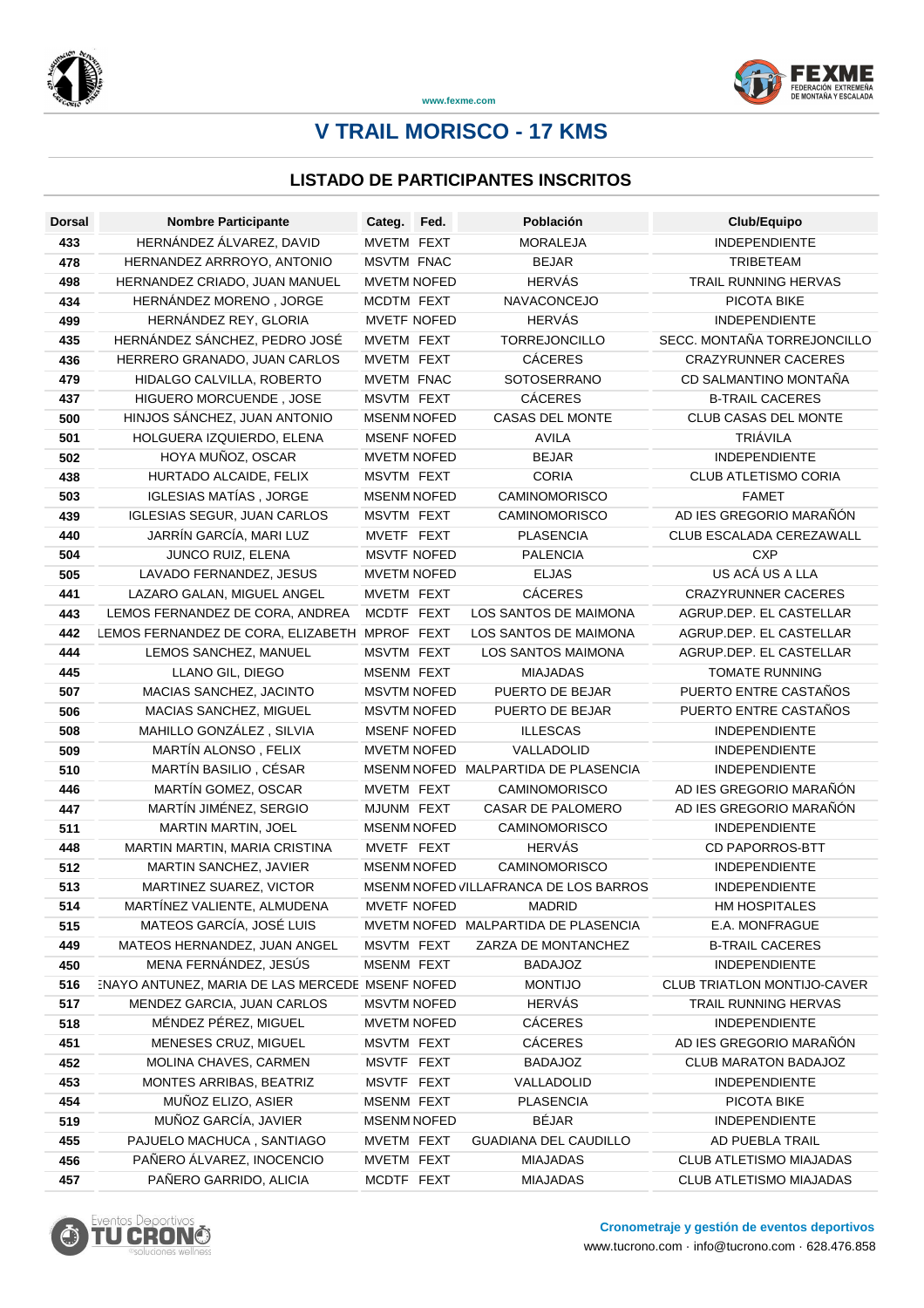



**www.fexme.com**

# **V TRAIL MORISCO - 17 KMS**

### **LISTADO DE PARTICIPANTES INSCRITOS**

| <b>Dorsal</b> | <b>Nombre Participante</b>                      | Categ.             | Fed. | Población                             | Club/Equipo                        |
|---------------|-------------------------------------------------|--------------------|------|---------------------------------------|------------------------------------|
| 433           | HERNÁNDEZ ÁLVAREZ, DAVID                        | MVETM FEXT         |      | <b>MORALEJA</b>                       | <b>INDEPENDIENTE</b>               |
| 478           | HERNANDEZ ARRROYO, ANTONIO                      | <b>MSVTM FNAC</b>  |      | <b>BEJAR</b>                          | <b>TRIBETEAM</b>                   |
| 498           | HERNANDEZ CRIADO, JUAN MANUEL                   | <b>MVETM NOFED</b> |      | <b>HERVÁS</b>                         | TRAIL RUNNING HERVAS               |
| 434           | HERNÁNDEZ MORENO, JORGE                         | MCDTM FEXT         |      | NAVACONCEJO                           | PICOTA BIKE                        |
| 499           | HERNÁNDEZ REY, GLORIA                           | <b>MVETF NOFED</b> |      | <b>HERVÁS</b>                         | <b>INDEPENDIENTE</b>               |
| 435           | HERNÁNDEZ SÁNCHEZ, PEDRO JOSÉ                   | MVETM FEXT         |      | <b>TORREJONCILLO</b>                  | SECC. MONTAÑA TORREJONCILLO        |
| 436           | HERRERO GRANADO, JUAN CARLOS                    | MVETM FEXT         |      | <b>CÁCERES</b>                        | <b>CRAZYRUNNER CACERES</b>         |
| 479           | HIDALGO CALVILLA, ROBERTO                       | MVETM FNAC         |      | SOTOSERRANO                           | CD SALMANTINO MONTAÑA              |
| 437           | HIGUERO MORCUENDE, JOSE                         | MSVTM FEXT         |      | <b>CÁCERES</b>                        | <b>B-TRAIL CACERES</b>             |
| 500           | HINJOS SÁNCHEZ, JUAN ANTONIO                    | <b>MSENM NOFED</b> |      | <b>CASAS DEL MONTE</b>                | <b>CLUB CASAS DEL MONTE</b>        |
| 501           | HOLGUERA IZQUIERDO, ELENA                       | <b>MSENF NOFED</b> |      | <b>AVILA</b>                          | TRIÁVILA                           |
| 502           | HOYA MUÑOZ, OSCAR                               | <b>MVETM NOFED</b> |      | <b>BEJAR</b>                          | <b>INDEPENDIENTE</b>               |
| 438           | HURTADO ALCAIDE, FELIX                          | MSVTM FEXT         |      | <b>CORIA</b>                          | <b>CLUB ATLETISMO CORIA</b>        |
| 503           | IGLESIAS MATÍAS, JORGE                          | <b>MSENM NOFED</b> |      | <b>CAMINOMORISCO</b>                  | <b>FAMET</b>                       |
| 439           | <b>IGLESIAS SEGUR, JUAN CARLOS</b>              | MSVTM FEXT         |      | <b>CAMINOMORISCO</b>                  | AD IES GREGORIO MARAÑÓN            |
| 440           | JARRÍN GARCÍA, MARI LUZ                         | MVETF FEXT         |      | <b>PLASENCIA</b>                      | CLUB ESCALADA CEREZAWALL           |
| 504           | JUNCO RUIZ, ELENA                               | <b>MSVTF NOFED</b> |      | <b>PALENCIA</b>                       | <b>CXP</b>                         |
| 505           | LAVADO FERNANDEZ, JESUS                         | <b>MVETM NOFED</b> |      | <b>ELJAS</b>                          | US ACÁ US A LLA                    |
| 441           | LAZARO GALAN, MIGUEL ANGEL                      | MVETM FEXT         |      | <b>CÁCERES</b>                        | <b>CRAZYRUNNER CACERES</b>         |
| 443           | LEMOS FERNANDEZ DE CORA, ANDREA                 | MCDTF FEXT         |      | LOS SANTOS DE MAIMONA                 | AGRUP.DEP. EL CASTELLAR            |
| 442           | LEMOS FERNANDEZ DE CORA, ELIZABETH              | MPROF FEXT         |      | LOS SANTOS DE MAIMONA                 | AGRUP.DEP. EL CASTELLAR            |
| 444           | LEMOS SANCHEZ, MANUEL                           | MSVTM FEXT         |      | LOS SANTOS MAIMONA                    | AGRUP.DEP. EL CASTELLAR            |
| 445           | LLANO GIL, DIEGO                                | MSENM FEXT         |      | <b>MIAJADAS</b>                       | <b>TOMATE RUNNING</b>              |
| 507           | MACIAS SANCHEZ, JACINTO                         | <b>MSVTM NOFED</b> |      | PUERTO DE BEJAR                       | PUERTO ENTRE CASTAÑOS              |
| 506           | MACIAS SANCHEZ, MIGUEL                          | <b>MSVTM NOFED</b> |      | PUERTO DE BEJAR                       | PUERTO ENTRE CASTAÑOS              |
| 508           | MAHILLO GONZÁLEZ, SILVIA                        | <b>MSENF NOFED</b> |      | <b>ILLESCAS</b>                       | <b>INDEPENDIENTE</b>               |
| 509           | MARTÍN ALONSO, FELIX                            | <b>MVETM NOFED</b> |      | VALLADOLID                            | <b>INDEPENDIENTE</b>               |
| 510           | MARTÍN BASILIO, CÉSAR                           | <b>MSENM NOFED</b> |      | MALPARTIDA DE PLASENCIA               | <b>INDEPENDIENTE</b>               |
| 446           | MARTÍN GOMEZ, OSCAR                             | MVETM FEXT         |      | <b>CAMINOMORISCO</b>                  | AD IES GREGORIO MARAÑÓN            |
| 447           | MARTÍN JIMÉNEZ, SERGIO                          | MJUNM FEXT         |      | CASAR DE PALOMERO                     | AD IES GREGORIO MARAÑÓN            |
| 511           | MARTIN MARTIN, JOEL                             | <b>MSENM NOFED</b> |      | <b>CAMINOMORISCO</b>                  | <b>INDEPENDIENTE</b>               |
| 448           | MARTIN MARTIN, MARIA CRISTINA                   | MVETF FEXT         |      | <b>HERVÁS</b>                         | <b>CD PAPORROS-BTT</b>             |
| 512           | MARTIN SANCHEZ, JAVIER                          | <b>MSENM NOFED</b> |      | <b>CAMINOMORISCO</b>                  | <b>INDEPENDIENTE</b>               |
| 513           | MARTINEZ SUAREZ, VICTOR                         |                    |      | MSENM NOFED VILLAFRANCA DE LOS BARROS | <b>INDEPENDIENTE</b>               |
| 514           | MARTÍNEZ VALIENTE, ALMUDENA                     | MVETF NOFED        |      | <b>MADRID</b>                         | HM HOSPITALES                      |
| 515           | MATEOS GARCÍA, JOSÉ LUIS                        |                    |      | MVETM NOFED MALPARTIDA DE PLASENCIA   | E.A. MONFRAGUE                     |
| 449           | MATEOS HERNANDEZ, JUAN ANGEL                    | MSVTM FEXT         |      | ZARZA DE MONTANCHEZ                   | <b>B-TRAIL CACERES</b>             |
| 450           | MENA FERNÁNDEZ, JESÚS                           | MSENM FEXT         |      | <b>BADAJOZ</b>                        | <b>INDEPENDIENTE</b>               |
| 516           | INAYO ANTUNEZ, MARIA DE LAS MERCEDE MSENF NOFED |                    |      | <b>MONTIJO</b>                        | <b>CLUB TRIATLON MONTIJO-CAVER</b> |
| 517           | MENDEZ GARCIA, JUAN CARLOS                      | <b>MSVTM NOFED</b> |      | <b>HERVÁS</b>                         | TRAIL RUNNING HERVAS               |
| 518           | MÉNDEZ PÉREZ, MIGUEL                            | <b>MVETM NOFED</b> |      | CÁCERES                               | <b>INDEPENDIENTE</b>               |
| 451           | MENESES CRUZ, MIGUEL                            | MSVTM FEXT         |      | CÁCERES                               | AD IES GREGORIO MARAÑÓN            |
| 452           | MOLINA CHAVES, CARMEN                           | MSVTF FEXT         |      | <b>BADAJOZ</b>                        | CLUB MARATON BADAJOZ               |
| 453           | MONTES ARRIBAS, BEATRIZ                         | MSVTF FEXT         |      | VALLADOLID                            | <b>INDEPENDIENTE</b>               |
| 454           | MUÑOZ ELIZO, ASIER                              | MSENM FEXT         |      | <b>PLASENCIA</b>                      | PICOTA BIKE                        |
| 519           | MUÑOZ GARCÍA, JAVIER                            | <b>MSENM NOFED</b> |      | <b>BÉJAR</b>                          | <b>INDEPENDIENTE</b>               |
| 455           | PAJUELO MACHUCA, SANTIAGO                       | MVETM FEXT         |      | GUADIANA DEL CAUDILLO                 | AD PUEBLA TRAIL                    |
| 456           | PAÑERO ÁLVAREZ, INOCENCIO                       | MVETM FEXT         |      | <b>MIAJADAS</b>                       | CLUB ATLETISMO MIAJADAS            |
| 457           | PAÑERO GARRIDO, ALICIA                          | MCDTF FEXT         |      | <b>MIAJADAS</b>                       | CLUB ATLETISMO MIAJADAS            |